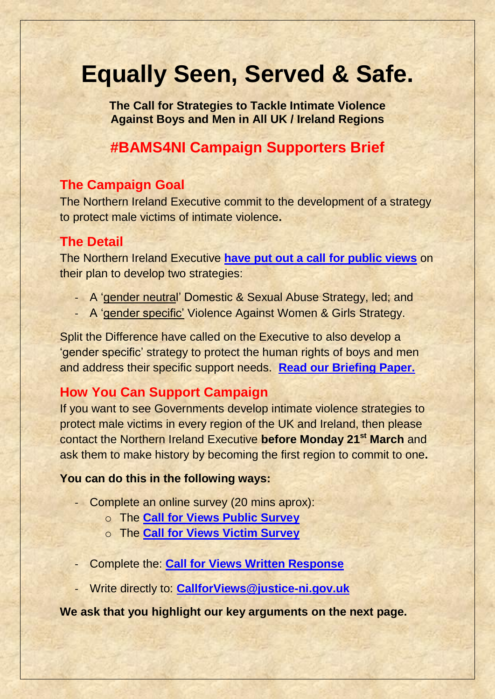# **Equally Seen, Served & Safe.**

**The Call for Strategies to Tackle Intimate Violence Against Boys and Men in All UK / Ireland Regions**

## **#BAMS4NI Campaign Supporters Brief**

#### **The Campaign Goal**

The Northern Ireland Executive commit to the development of a strategy to protect male victims of intimate violence**.**

#### **The Detail**

The Northern Ireland Executive **have put out a call [for public views](https://www.health-ni.gov.uk/consultations/consultation-new-domestic-and-sexual-abuse-strategy-and-violence-against-women-and-girls-strategy)** on their plan to develop two strategies:

- A 'gender neutral' Domestic & Sexual Abuse Strategy, led; and
- A 'gender specific' Violence Against Women & Girls Strategy.

Split the Difference have called on the Executive to also develop a 'gender specific' strategy to protect the human rights of boys and men and address their specific support needs. **[Read our Briefing Paper.](https://split-the-difference.com/wp-content/uploads/2022/02/Equally-Seen-Served-Safe-Northern-Ireland-Briefing-1.pdf)**

### **How You Can Support Campaign**

If you want to see Governments develop intimate violence strategies to protect male victims in every region of the UK and Ireland, then please contact the Northern Ireland Executive **before Monday 21st March** and ask them to make history by becoming the first region to commit to one**.**

#### **You can do this in the following ways:**

- Complete an online survey (20 mins aprox):
	- o The **[Call for Views Public Survey](https://consultations.nidirect.gov.uk/doj/call-for-views-domestic-sexual-abuse-public-survey/)**
	- o The **[Call for Views Victim Survey](https://consultations.nidirect.gov.uk/doj/call-for-views-domestic-sexual-abuse-victim-survey)**
- Complete the: **[Call for Views Written Response](https://consultations.nidirect.gov.uk/doj/call-for-views-dsa-strategy-vawg-strategy-response)**
- Write directly to: **[CallforViews@justice-ni.gov.uk](mailto:CallforViews@justice-ni.gov.uk)**

**We ask that you highlight our key arguments on the next page.**